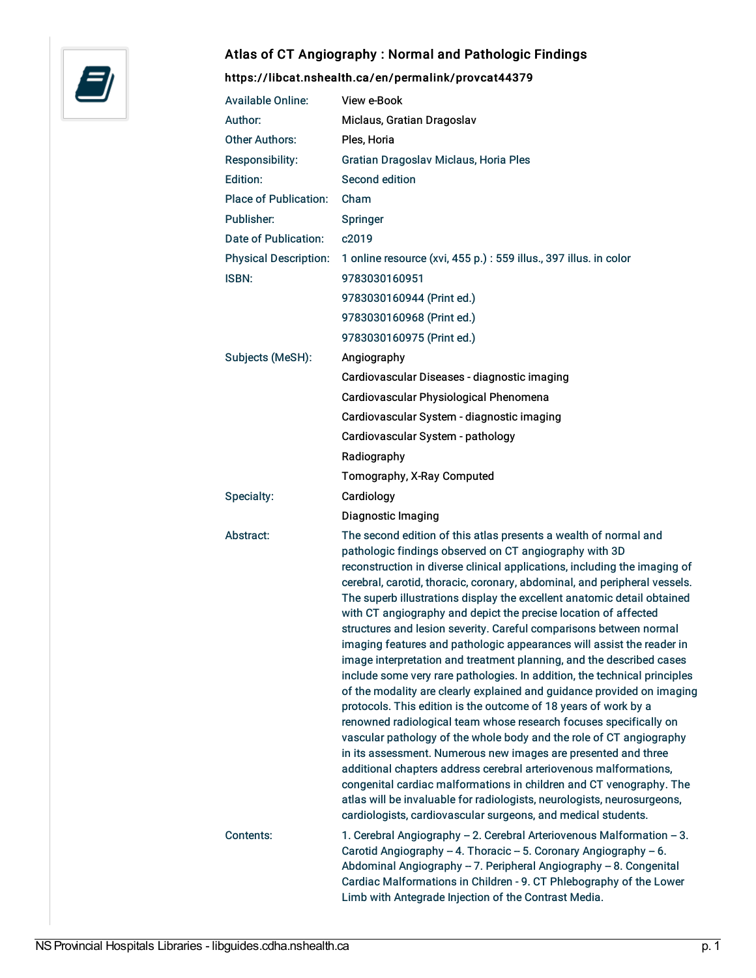

# Atlas of CT Angiography : Normal and Pathologic Findings

# <https://libcat.nshealth.ca/en/permalink/provcat44379>

| <b>Available Online:</b>     | View e-Book                                                                                                                                                                                                                                                                                                                                                                                                                                                                                                                                                                                                                                                                                                                                                                                                                                                                                                                                                                                                                                                                                                                                                                                                                                                                                                                                                                               |
|------------------------------|-------------------------------------------------------------------------------------------------------------------------------------------------------------------------------------------------------------------------------------------------------------------------------------------------------------------------------------------------------------------------------------------------------------------------------------------------------------------------------------------------------------------------------------------------------------------------------------------------------------------------------------------------------------------------------------------------------------------------------------------------------------------------------------------------------------------------------------------------------------------------------------------------------------------------------------------------------------------------------------------------------------------------------------------------------------------------------------------------------------------------------------------------------------------------------------------------------------------------------------------------------------------------------------------------------------------------------------------------------------------------------------------|
| Author:                      | Miclaus, Gratian Dragoslav                                                                                                                                                                                                                                                                                                                                                                                                                                                                                                                                                                                                                                                                                                                                                                                                                                                                                                                                                                                                                                                                                                                                                                                                                                                                                                                                                                |
| <b>Other Authors:</b>        | Ples, Horia                                                                                                                                                                                                                                                                                                                                                                                                                                                                                                                                                                                                                                                                                                                                                                                                                                                                                                                                                                                                                                                                                                                                                                                                                                                                                                                                                                               |
| Responsibility:              | Gratian Dragoslav Miclaus, Horia Ples                                                                                                                                                                                                                                                                                                                                                                                                                                                                                                                                                                                                                                                                                                                                                                                                                                                                                                                                                                                                                                                                                                                                                                                                                                                                                                                                                     |
| Edition:                     | Second edition                                                                                                                                                                                                                                                                                                                                                                                                                                                                                                                                                                                                                                                                                                                                                                                                                                                                                                                                                                                                                                                                                                                                                                                                                                                                                                                                                                            |
| <b>Place of Publication:</b> | Cham                                                                                                                                                                                                                                                                                                                                                                                                                                                                                                                                                                                                                                                                                                                                                                                                                                                                                                                                                                                                                                                                                                                                                                                                                                                                                                                                                                                      |
| Publisher:                   | Springer                                                                                                                                                                                                                                                                                                                                                                                                                                                                                                                                                                                                                                                                                                                                                                                                                                                                                                                                                                                                                                                                                                                                                                                                                                                                                                                                                                                  |
| Date of Publication:         | c2019                                                                                                                                                                                                                                                                                                                                                                                                                                                                                                                                                                                                                                                                                                                                                                                                                                                                                                                                                                                                                                                                                                                                                                                                                                                                                                                                                                                     |
| <b>Physical Description:</b> | 1 online resource (xvi, 455 p.) : 559 illus., 397 illus. in color                                                                                                                                                                                                                                                                                                                                                                                                                                                                                                                                                                                                                                                                                                                                                                                                                                                                                                                                                                                                                                                                                                                                                                                                                                                                                                                         |
| ISBN:                        | 9783030160951                                                                                                                                                                                                                                                                                                                                                                                                                                                                                                                                                                                                                                                                                                                                                                                                                                                                                                                                                                                                                                                                                                                                                                                                                                                                                                                                                                             |
|                              | 9783030160944 (Print ed.)                                                                                                                                                                                                                                                                                                                                                                                                                                                                                                                                                                                                                                                                                                                                                                                                                                                                                                                                                                                                                                                                                                                                                                                                                                                                                                                                                                 |
|                              | 9783030160968 (Print ed.)                                                                                                                                                                                                                                                                                                                                                                                                                                                                                                                                                                                                                                                                                                                                                                                                                                                                                                                                                                                                                                                                                                                                                                                                                                                                                                                                                                 |
|                              | 9783030160975 (Print ed.)                                                                                                                                                                                                                                                                                                                                                                                                                                                                                                                                                                                                                                                                                                                                                                                                                                                                                                                                                                                                                                                                                                                                                                                                                                                                                                                                                                 |
| Subjects (MeSH):             | Angiography                                                                                                                                                                                                                                                                                                                                                                                                                                                                                                                                                                                                                                                                                                                                                                                                                                                                                                                                                                                                                                                                                                                                                                                                                                                                                                                                                                               |
|                              | Cardiovascular Diseases - diagnostic imaging                                                                                                                                                                                                                                                                                                                                                                                                                                                                                                                                                                                                                                                                                                                                                                                                                                                                                                                                                                                                                                                                                                                                                                                                                                                                                                                                              |
|                              | Cardiovascular Physiological Phenomena                                                                                                                                                                                                                                                                                                                                                                                                                                                                                                                                                                                                                                                                                                                                                                                                                                                                                                                                                                                                                                                                                                                                                                                                                                                                                                                                                    |
|                              | Cardiovascular System - diagnostic imaging                                                                                                                                                                                                                                                                                                                                                                                                                                                                                                                                                                                                                                                                                                                                                                                                                                                                                                                                                                                                                                                                                                                                                                                                                                                                                                                                                |
|                              | Cardiovascular System - pathology                                                                                                                                                                                                                                                                                                                                                                                                                                                                                                                                                                                                                                                                                                                                                                                                                                                                                                                                                                                                                                                                                                                                                                                                                                                                                                                                                         |
|                              | Radiography                                                                                                                                                                                                                                                                                                                                                                                                                                                                                                                                                                                                                                                                                                                                                                                                                                                                                                                                                                                                                                                                                                                                                                                                                                                                                                                                                                               |
|                              | Tomography, X-Ray Computed                                                                                                                                                                                                                                                                                                                                                                                                                                                                                                                                                                                                                                                                                                                                                                                                                                                                                                                                                                                                                                                                                                                                                                                                                                                                                                                                                                |
| Specialty:                   | Cardiology                                                                                                                                                                                                                                                                                                                                                                                                                                                                                                                                                                                                                                                                                                                                                                                                                                                                                                                                                                                                                                                                                                                                                                                                                                                                                                                                                                                |
|                              | Diagnostic Imaging                                                                                                                                                                                                                                                                                                                                                                                                                                                                                                                                                                                                                                                                                                                                                                                                                                                                                                                                                                                                                                                                                                                                                                                                                                                                                                                                                                        |
| Abstract:                    | The second edition of this atlas presents a wealth of normal and<br>pathologic findings observed on CT angiography with 3D<br>reconstruction in diverse clinical applications, including the imaging of<br>cerebral, carotid, thoracic, coronary, abdominal, and peripheral vessels.<br>The superb illustrations display the excellent anatomic detail obtained<br>with CT angiography and depict the precise location of affected<br>structures and lesion severity. Careful comparisons between normal<br>imaging features and pathologic appearances will assist the reader in<br>image interpretation and treatment planning, and the described cases<br>include some very rare pathologies. In addition, the technical principles<br>of the modality are clearly explained and guidance provided on imaging<br>protocols. This edition is the outcome of 18 years of work by a<br>renowned radiological team whose research focuses specifically on<br>vascular pathology of the whole body and the role of CT angiography<br>in its assessment. Numerous new images are presented and three<br>additional chapters address cerebral arteriovenous malformations,<br>congenital cardiac malformations in children and CT venography. The<br>atlas will be invaluable for radiologists, neurologists, neurosurgeons,<br>cardiologists, cardiovascular surgeons, and medical students. |
| Contents:                    | 1. Cerebral Angiography - 2. Cerebral Arteriovenous Malformation - 3.<br>Carotid Angiography - 4. Thoracic - 5. Coronary Angiography - 6.<br>Abdominal Angiography - 7. Peripheral Angiography - 8. Congenital<br>Cardiac Malformations in Children - 9. CT Phlebography of the Lower<br>Limb with Antegrade Injection of the Contrast Media.                                                                                                                                                                                                                                                                                                                                                                                                                                                                                                                                                                                                                                                                                                                                                                                                                                                                                                                                                                                                                                             |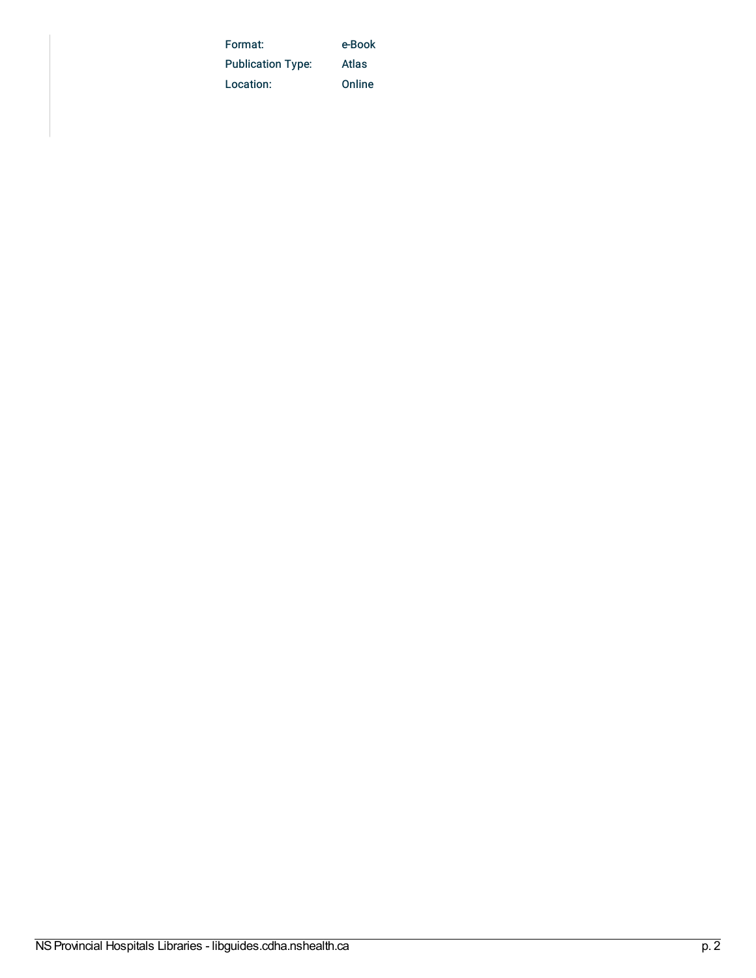| Format:                  | e-Book |
|--------------------------|--------|
| <b>Publication Type:</b> | Atlas  |
| Location:                | Online |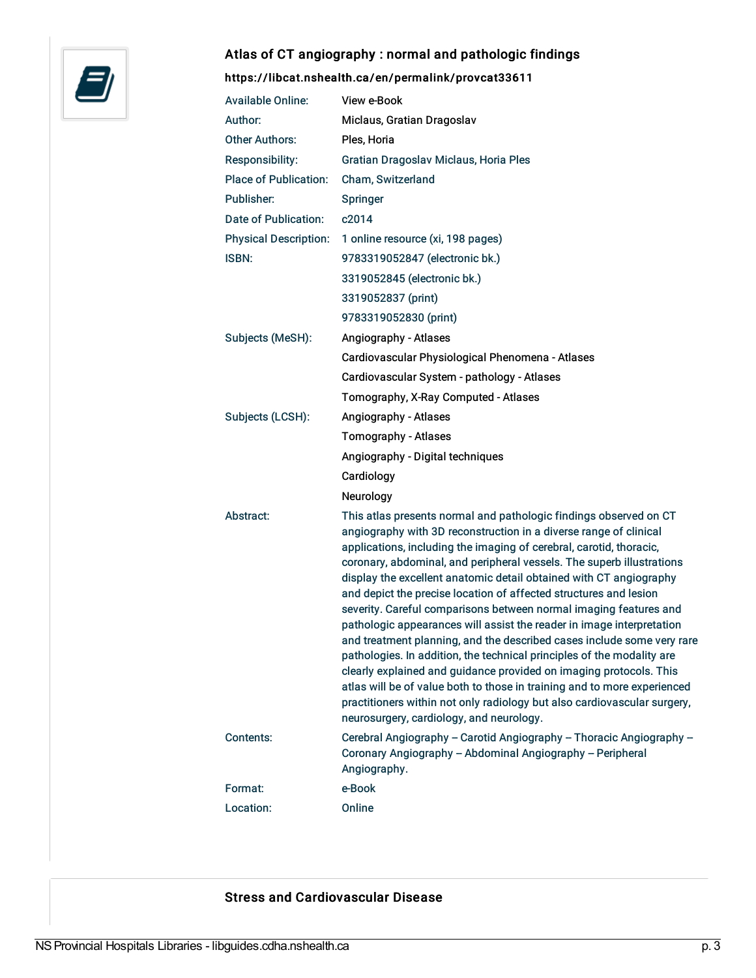

# Atlas of CT angiography : normal and pathologic findings

# <https://libcat.nshealth.ca/en/permalink/provcat33611>

| <b>Available Online:</b>     | View e-Book                                                                                                                                                                                                                                                                                                                                                                                                                                                                                                                                                                                                                                                                                                                                                                                                                                                                                                                                                                                                   |
|------------------------------|---------------------------------------------------------------------------------------------------------------------------------------------------------------------------------------------------------------------------------------------------------------------------------------------------------------------------------------------------------------------------------------------------------------------------------------------------------------------------------------------------------------------------------------------------------------------------------------------------------------------------------------------------------------------------------------------------------------------------------------------------------------------------------------------------------------------------------------------------------------------------------------------------------------------------------------------------------------------------------------------------------------|
| Author:                      | Miclaus, Gratian Dragoslav                                                                                                                                                                                                                                                                                                                                                                                                                                                                                                                                                                                                                                                                                                                                                                                                                                                                                                                                                                                    |
| <b>Other Authors:</b>        | Ples, Horia                                                                                                                                                                                                                                                                                                                                                                                                                                                                                                                                                                                                                                                                                                                                                                                                                                                                                                                                                                                                   |
| <b>Responsibility:</b>       | Gratian Dragoslav Miclaus, Horia Ples                                                                                                                                                                                                                                                                                                                                                                                                                                                                                                                                                                                                                                                                                                                                                                                                                                                                                                                                                                         |
| <b>Place of Publication:</b> | Cham, Switzerland                                                                                                                                                                                                                                                                                                                                                                                                                                                                                                                                                                                                                                                                                                                                                                                                                                                                                                                                                                                             |
| Publisher:                   | Springer                                                                                                                                                                                                                                                                                                                                                                                                                                                                                                                                                                                                                                                                                                                                                                                                                                                                                                                                                                                                      |
| Date of Publication:         | c2014                                                                                                                                                                                                                                                                                                                                                                                                                                                                                                                                                                                                                                                                                                                                                                                                                                                                                                                                                                                                         |
| <b>Physical Description:</b> | 1 online resource (xi, 198 pages)                                                                                                                                                                                                                                                                                                                                                                                                                                                                                                                                                                                                                                                                                                                                                                                                                                                                                                                                                                             |
| <b>ISBN:</b>                 | 9783319052847 (electronic bk.)                                                                                                                                                                                                                                                                                                                                                                                                                                                                                                                                                                                                                                                                                                                                                                                                                                                                                                                                                                                |
|                              | 3319052845 (electronic bk.)                                                                                                                                                                                                                                                                                                                                                                                                                                                                                                                                                                                                                                                                                                                                                                                                                                                                                                                                                                                   |
|                              | 3319052837 (print)                                                                                                                                                                                                                                                                                                                                                                                                                                                                                                                                                                                                                                                                                                                                                                                                                                                                                                                                                                                            |
|                              | 9783319052830 (print)                                                                                                                                                                                                                                                                                                                                                                                                                                                                                                                                                                                                                                                                                                                                                                                                                                                                                                                                                                                         |
| Subjects (MeSH):             | Angiography - Atlases                                                                                                                                                                                                                                                                                                                                                                                                                                                                                                                                                                                                                                                                                                                                                                                                                                                                                                                                                                                         |
|                              | Cardiovascular Physiological Phenomena - Atlases                                                                                                                                                                                                                                                                                                                                                                                                                                                                                                                                                                                                                                                                                                                                                                                                                                                                                                                                                              |
|                              | Cardiovascular System - pathology - Atlases                                                                                                                                                                                                                                                                                                                                                                                                                                                                                                                                                                                                                                                                                                                                                                                                                                                                                                                                                                   |
|                              | Tomography, X-Ray Computed - Atlases                                                                                                                                                                                                                                                                                                                                                                                                                                                                                                                                                                                                                                                                                                                                                                                                                                                                                                                                                                          |
| Subjects (LCSH):             | Angiography - Atlases                                                                                                                                                                                                                                                                                                                                                                                                                                                                                                                                                                                                                                                                                                                                                                                                                                                                                                                                                                                         |
|                              | Tomography - Atlases                                                                                                                                                                                                                                                                                                                                                                                                                                                                                                                                                                                                                                                                                                                                                                                                                                                                                                                                                                                          |
|                              | Angiography - Digital techniques                                                                                                                                                                                                                                                                                                                                                                                                                                                                                                                                                                                                                                                                                                                                                                                                                                                                                                                                                                              |
|                              | Cardiology                                                                                                                                                                                                                                                                                                                                                                                                                                                                                                                                                                                                                                                                                                                                                                                                                                                                                                                                                                                                    |
|                              | Neurology                                                                                                                                                                                                                                                                                                                                                                                                                                                                                                                                                                                                                                                                                                                                                                                                                                                                                                                                                                                                     |
| Abstract:                    | This atlas presents normal and pathologic findings observed on CT<br>angiography with 3D reconstruction in a diverse range of clinical<br>applications, including the imaging of cerebral, carotid, thoracic,<br>coronary, abdominal, and peripheral vessels. The superb illustrations<br>display the excellent anatomic detail obtained with CT angiography<br>and depict the precise location of affected structures and lesion<br>severity. Careful comparisons between normal imaging features and<br>pathologic appearances will assist the reader in image interpretation<br>and treatment planning, and the described cases include some very rare<br>pathologies. In addition, the technical principles of the modality are<br>clearly explained and guidance provided on imaging protocols. This<br>atlas will be of value both to those in training and to more experienced<br>practitioners within not only radiology but also cardiovascular surgery,<br>neurosurgery, cardiology, and neurology. |
| Contents:                    | Cerebral Angiography - Carotid Angiography - Thoracic Angiography -<br>Coronary Angiography - Abdominal Angiography - Peripheral<br>Angiography.                                                                                                                                                                                                                                                                                                                                                                                                                                                                                                                                                                                                                                                                                                                                                                                                                                                              |
| Format:                      | e-Book                                                                                                                                                                                                                                                                                                                                                                                                                                                                                                                                                                                                                                                                                                                                                                                                                                                                                                                                                                                                        |
| Location:                    | Online                                                                                                                                                                                                                                                                                                                                                                                                                                                                                                                                                                                                                                                                                                                                                                                                                                                                                                                                                                                                        |

# Stress and Cardiovascular Disease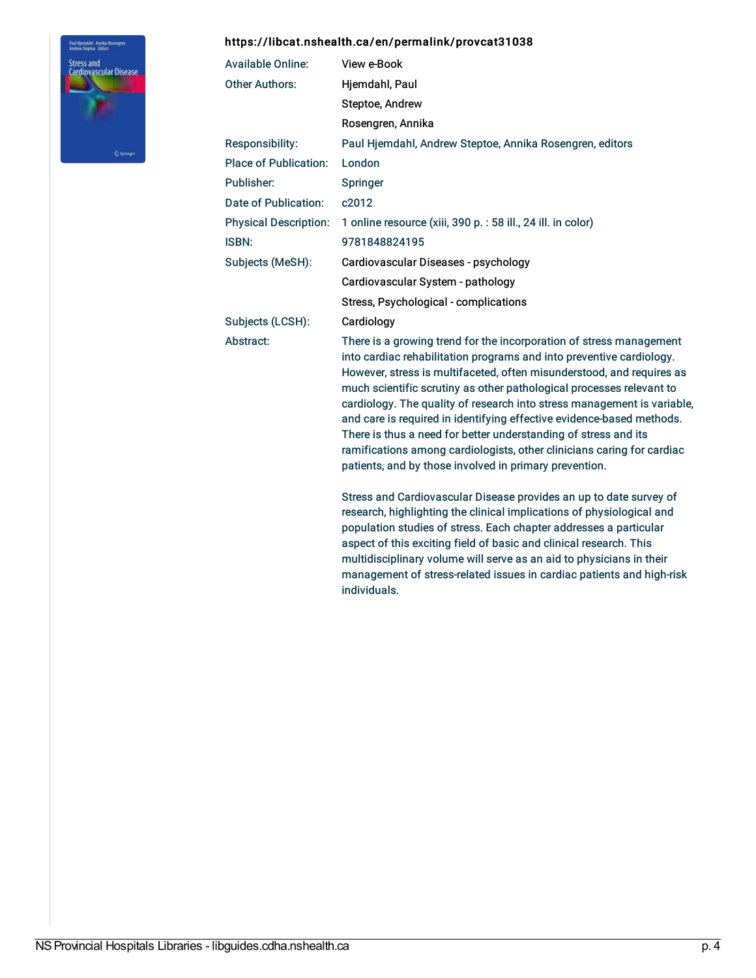#### <https://libcat.nshealth.ca/en/permalink/provcat31038>

individuals.



| <b>Available Online:</b>     | View e-Book                                                                                                                                                                                                                                                                                                                                                                                                                                                                                                                                                                                                                                             |
|------------------------------|---------------------------------------------------------------------------------------------------------------------------------------------------------------------------------------------------------------------------------------------------------------------------------------------------------------------------------------------------------------------------------------------------------------------------------------------------------------------------------------------------------------------------------------------------------------------------------------------------------------------------------------------------------|
| <b>Other Authors:</b>        | Hjemdahl, Paul                                                                                                                                                                                                                                                                                                                                                                                                                                                                                                                                                                                                                                          |
|                              | Steptoe, Andrew                                                                                                                                                                                                                                                                                                                                                                                                                                                                                                                                                                                                                                         |
|                              | Rosengren, Annika                                                                                                                                                                                                                                                                                                                                                                                                                                                                                                                                                                                                                                       |
| Responsibility:              | Paul Hjemdahl, Andrew Steptoe, Annika Rosengren, editors                                                                                                                                                                                                                                                                                                                                                                                                                                                                                                                                                                                                |
| <b>Place of Publication:</b> | London                                                                                                                                                                                                                                                                                                                                                                                                                                                                                                                                                                                                                                                  |
| Publisher:                   | <b>Springer</b>                                                                                                                                                                                                                                                                                                                                                                                                                                                                                                                                                                                                                                         |
| Date of Publication:         | c2012                                                                                                                                                                                                                                                                                                                                                                                                                                                                                                                                                                                                                                                   |
| <b>Physical Description:</b> | 1 online resource (xiii, 390 p. : 58 ill., 24 ill. in color)                                                                                                                                                                                                                                                                                                                                                                                                                                                                                                                                                                                            |
| <b>ISBN:</b>                 | 9781848824195                                                                                                                                                                                                                                                                                                                                                                                                                                                                                                                                                                                                                                           |
| Subjects (MeSH):             | Cardiovascular Diseases - psychology                                                                                                                                                                                                                                                                                                                                                                                                                                                                                                                                                                                                                    |
|                              | Cardiovascular System - pathology                                                                                                                                                                                                                                                                                                                                                                                                                                                                                                                                                                                                                       |
|                              | Stress, Psychological - complications                                                                                                                                                                                                                                                                                                                                                                                                                                                                                                                                                                                                                   |
| Subjects (LCSH):             | Cardiology                                                                                                                                                                                                                                                                                                                                                                                                                                                                                                                                                                                                                                              |
| Abstract:                    | There is a growing trend for the incorporation of stress management<br>into cardiac rehabilitation programs and into preventive cardiology.<br>However, stress is multifaceted, often misunderstood, and requires as<br>much scientific scrutiny as other pathological processes relevant to<br>cardiology. The quality of research into stress management is variable,<br>and care is required in identifying effective evidence-based methods.<br>There is thus a need for better understanding of stress and its<br>ramifications among cardiologists, other clinicians caring for cardiac<br>patients, and by those involved in primary prevention. |
|                              | Stress and Cardiovascular Disease provides an up to date survey of<br>research, highlighting the clinical implications of physiological and<br>population studies of stress. Each chapter addresses a particular<br>aspect of this exciting field of basic and clinical research. This                                                                                                                                                                                                                                                                                                                                                                  |

multidisciplinary volume will serve as an aid to physicians in their management of stress-related issues in cardiac patients and high-risk